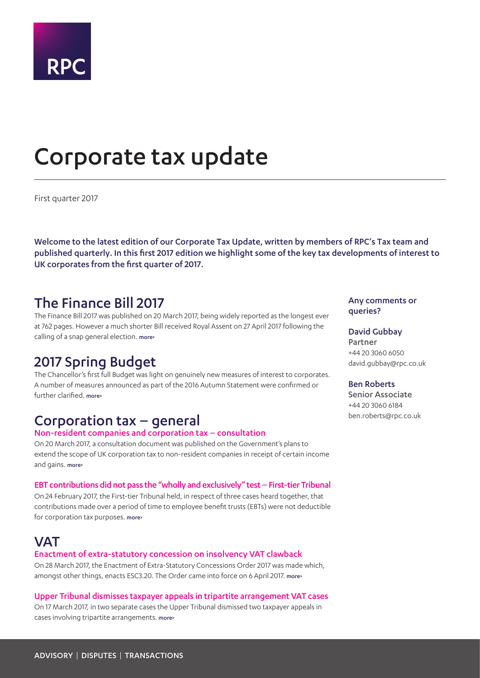

# <span id="page-0-0"></span>Corporate tax update

First quarter 2017

Welcome to the latest edition of our Corporate Tax Update, written by members of RPC's Tax team and published quarterly. In this first 2017 edition we highlight some of the key tax developments of interest to UK corporates from the first quarter of 2017.

### The Finance Bill 2017

The Finance Bill 2017 was published on 20 March 2017, being widely reported as the longest ever at 762 pages. However a much shorter Bill received Royal Assent on 27 April 2017 following the calling of a snap general election. [more>](#page-2-0)

# 2017 Spring Budget

The Chancellor's first full Budget was light on genuinely new measures of interest to corporates. A number of measures announced as part of the 2016 Autumn Statement were confirmed or further clarified. [more>](#page-3-0)

# Corporation tax – general

### Non-resident companies and corporation tax – consultation

On 20 March 2017, a consultation document was published on the Government's plans to extend the scope of UK corporation tax to non-resident companies in receipt of certain income and gains. [more>](#page-4-0)

### EBT contributions did not pass the "wholly and exclusively" test – First-tier Tribunal

On 24 February 2017, the First-tier Tribunal held, in respect of three cases heard together, that contributions made over a period of time to employee benefit trusts (EBTs) were not deductible for corporation tax purposes. more>

### **VAT**

#### Enactment of extra-statutory concession on insolvency VAT clawback

On 28 March 2017, the Enactment of Extra-Statutory Concessions Order 2017 was made which, amongst other things, enacts ESC3.20. The Order came into force on 6 April 2017. [more>](#page-5-0)

#### Upper Tribunal dismisses taxpayer appeals in tripartite arrangement VAT cases

On 17 March 2017, in two separate cases the Upper Tribunal dismissed two taxpayer appeals in cases involving tripartite arrangements. [more>](#page-5-1)

### Any comments or queries?

#### David Gubbay

Partner +44 20 3060 6050 david.gubbay@rpc.co.uk

#### Ben Roberts

Senior Associate +44 20 3060 6184 ben.roberts@rpc.co.uk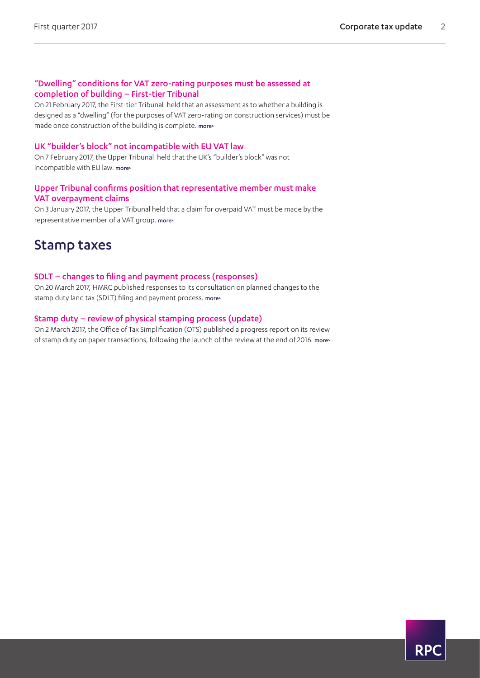### "Dwelling" conditions for VAT zero-rating purposes must be assessed at completion of building – First-tier Tribunal

On 21 February 2017, the First-tier Tribunal held that an assessment as to whether a building is designed as a "dwelling" (for the purposes of VAT zero-rating on construction services) must be made once construction of the building is complete. [more>](#page-6-0)

### UK "builder's block" not incompatible with EU VAT law

On 7 February 2017, the Upper Tribunal held that the UK's "builder's block" was not incompatible with EU law. more>

### Upper Tribunal confirms position that representative member must make VAT overpayment claims

On 3 January 2017, the Upper Tribunal held that a claim for overpaid VAT must be made by the representative member of a VAT group. [more>](#page-7-0) 

### Stamp taxes

### SDLT – changes to filing and payment process (responses)

On 20 March 2017, HMRC published responses to its consultation on planned changes to the stamp duty land tax (SDLT) filing and payment process. [more>](#page-8-0) 

### Stamp duty – review of physical stamping process (update)

On 2 March 2017, the Office of Tax Simplification (OTS) published a progress report on its review of stamp duty on paper transactions, following the launch of the review at the end of 2016. [more>](#page-8-1) 

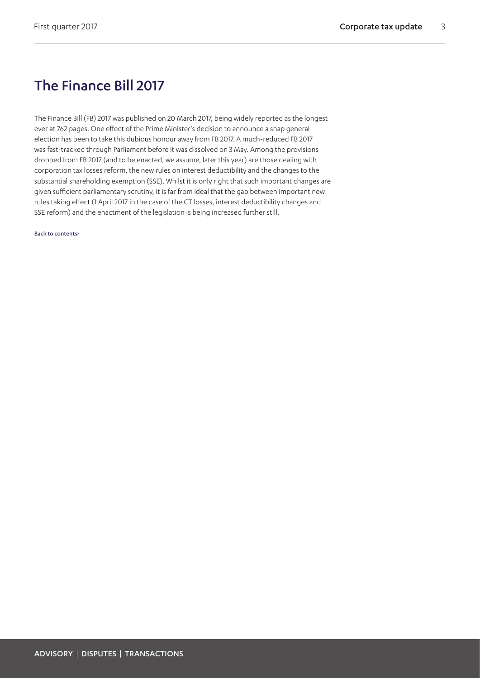# <span id="page-2-0"></span>The Finance Bill 2017

The Finance Bill (FB) 2017 was published on 20 March 2017, being widely reported as the longest ever at 762 pages. One effect of the Prime Minister's decision to announce a snap general election has been to take this dubious honour away from FB 2017. A much-reduced FB 2017 was fast-tracked through Parliament before it was dissolved on 3 May. Among the provisions dropped from FB 2017 (and to be enacted, we assume, later this year) are those dealing with corporation tax losses reform, the new rules on interest deductibility and the changes to the substantial shareholding exemption (SSE). Whilst it is only right that such important changes are given sufficient parliamentary scrutiny, it is far from ideal that the gap between important new rules taking effect (1 April 2017 in the case of the CT losses, interest deductibility changes and SSE reform) and the enactment of the legislation is being increased further still.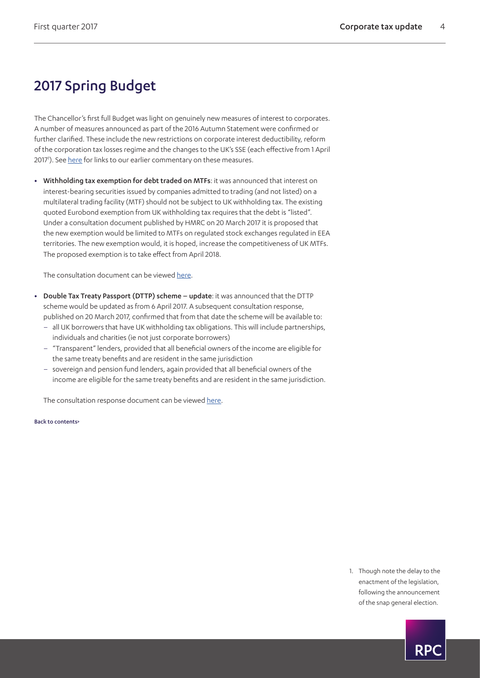# <span id="page-3-0"></span>2017 Spring Budget

The Chancellor's first full Budget was light on genuinely new measures of interest to corporates. A number of measures announced as part of the 2016 Autumn Statement were confirmed or further clarified. These include the new restrictions on corporate interest deductibility, reform of the corporation tax losses regime and the changes to the UK's SSE (each effective from 1 April 2017'). See <u>here</u> for links to our earlier commentary on these measures.

**•** Withholding tax exemption for debt traded on MTFs: it was announced that interest on interest-bearing securities issued by companies admitted to trading (and not listed) on a multilateral trading facility (MTF) should not be subject to UK withholding tax. The existing quoted Eurobond exemption from UK withholding tax requires that the debt is "listed". Under a consultation document published by HMRC on 20 March 2017 it is proposed that the new exemption would be limited to MTFs on regulated stock exchanges regulated in EEA territories. The new exemption would, it is hoped, increase the competitiveness of UK MTFs. The proposed exemption is to take effect from April 2018.

The consultation document can be viewed [here.](https://www.gov.uk/government/uploads/system/uploads/attachment_data/file/601145/Withholding_tax_exemption_for_debt_traded_on_a_Multilateral_Trading_Facility.pdf)

- **•** Double Tax Treaty Passport (DTTP) scheme update: it was announced that the DTTP scheme would be updated as from 6 April 2017. A subsequent consultation response, published on 20 March 2017, confirmed that from that date the scheme will be available to:
	- all UK borrowers that have UK withholding tax obligations. This will include partnerships, individuals and charities (ie not just corporate borrowers)
	- "Transparent" lenders, provided that all beneficial owners of the income are eligible for the same treaty benefits and are resident in the same jurisdiction
	- sovereign and pension fund lenders, again provided that all beneficial owners of the income are eligible for the same treaty benefits and are resident in the same jurisdiction.

The consultation response document can be viewed [here](https://www.gov.uk/government/uploads/system/uploads/attachment_data/file/601189/Double_Taxation_Treaty_Passport_scheme_review_-_consultation_response.pdf).

#### [Back to contents>](#page-0-0)

<span id="page-3-1"></span>1. Though note the delay to the enactment of the legislation, following the announcement of the snap general election.

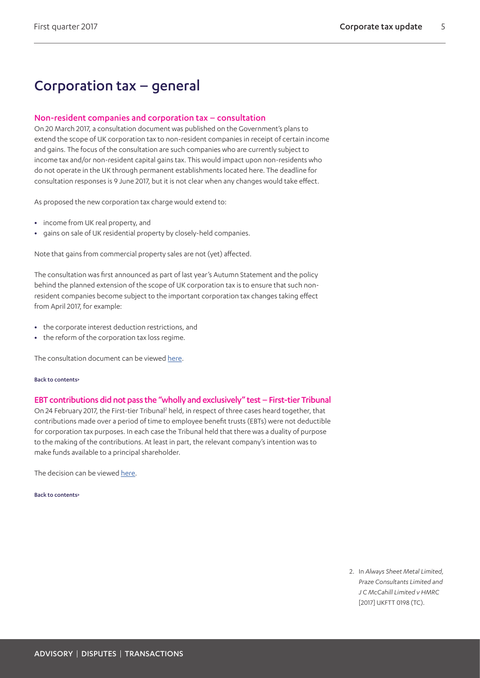# Corporation tax – general

### <span id="page-4-0"></span>Non-resident companies and corporation tax – consultation

On 20 March 2017, a consultation document was published on the Government's plans to extend the scope of UK corporation tax to non-resident companies in receipt of certain income and gains. The focus of the consultation are such companies who are currently subject to income tax and/or non-resident capital gains tax. This would impact upon non-residents who do not operate in the UK through permanent establishments located here. The deadline for consultation responses is 9 June 2017, but it is not clear when any changes would take effect.

As proposed the new corporation tax charge would extend to:

- **•** income from UK real property, and
- **•** gains on sale of UK residential property by closely-held companies.

Note that gains from commercial property sales are not (yet) affected.

The consultation was first announced as part of last year's Autumn Statement and the policy behind the planned extension of the scope of UK corporation tax is to ensure that such nonresident companies become subject to the important corporation tax changes taking effect from April 2017, for example:

- **•** the corporate interest deduction restrictions, and
- **•** the reform of the corporation tax loss regime.

The consultation document can be viewed [here.](https://www.gov.uk/government/consultations/non-resident-companies-chargeable-to-income-tax-and-non-resident-capital-gains-tax)

#### [Back to contents>](#page-0-0)

### EBT contributions did not pass the "wholly and exclusively" test – First-tier Tribunal

On [2](#page-4-1)4 February 2017, the First-tier Tribunal<sup>2</sup> held, in respect of three cases heard together, that contributions made over a period of time to employee benefit trusts (EBTs) were not deductible for corporation tax purposes. In each case the Tribunal held that there was a duality of purpose to the making of the contributions. At least in part, the relevant company's intention was to make funds available to a principal shareholder.

The decision can be viewed [here.](http://www.bailii.org/uk/cases/UKFTT/TC/2017/TC05686.pdf)

#### [Back to contents>](#page-0-0)

<span id="page-4-1"></span>2. In *Always Sheet Metal Limited, Praze Consultants Limited and J C McCahill Limited v HMRC*  [2017] UKFTT 0198 (TC).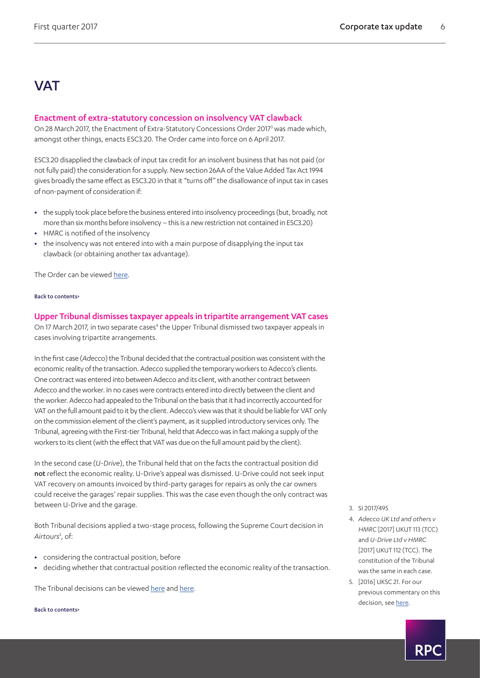# **VAT**

### <span id="page-5-0"></span>Enactment of extra-statutory concession on insolvency VAT clawback

On 28 March 2017, the Enactment of Extra-Statutory Concessions Order 2017<sup>[3](#page-5-2)</sup> was made which, amongst other things, enacts ESC3.20. The Order came into force on 6 April 2017.

ESC3.20 disapplied the clawback of input tax credit for an insolvent business that has not paid (or not fully paid) the consideration for a supply. New section 26AA of the Value Added Tax Act 1994 gives broadly the same effect as ESC3.20 in that it "turns off" the disallowance of input tax in cases of non-payment of consideration if:

- the supply took place before the business entered into insolvency proceedings (but, broadly, not more than six months before insolvency – this is a new restriction not contained in ESC3.20)
- **•** HMRC is notified of the insolvency
- **•** the insolvency was not entered into with a main purpose of disapplying the input tax clawback (or obtaining another tax advantage).

The Order can be viewed [here.](http://www.legislation.gov.uk/uksi/2017/495/contents/made)

#### [Back to contents>](#page-0-0)

<span id="page-5-1"></span>Upper Tribunal dismisses taxpayer appeals in tripartite arrangement VAT cases On 17 March 2017, in two separate cases<sup>4</sup> the Upper Tribunal dismissed two taxpayer appeals in cases involving tripartite arrangements.

In the first case (*Adecco*) the Tribunal decided that the contractual position was consistent with the economic reality of the transaction. Adecco supplied the temporary workers to Adecco's clients. One contract was entered into between Adecco and its client, with another contract between Adecco and the worker. In no cases were contracts entered into directly between the client and the worker. Adecco had appealed to the Tribunal on the basis that it had incorrectly accounted for VAT on the full amount paid to it by the client. Adecco's view was that it should be liable for VAT only on the commission element of the client's payment, as it supplied introductory services only. The Tribunal, agreeing with the First-tier Tribunal, held that Adecco was in fact making a supply of the workers to its client (with the effect that VAT was due on the full amount paid by the client).

In the second case (*U-Drive*), the Tribunal held that on the facts the contractual position did not reflect the economic reality. U-Drive's appeal was dismissed. U-Drive could not seek input VAT recovery on amounts invoiced by third-party garages for repairs as only the car owners could receive the garages' repair supplies. This was the case even though the only contract was between U-Drive and the garage.

Both Tribunal decisions applied a two-stage process, following the Supreme Court decision in Airtours<sup>[5](#page-5-4)</sup>, of:

- **•** considering the contractual position, before
- **•** deciding whether that contractual position reflected the economic reality of the transaction.

The Tribunal decisions can be viewed [here](http://www.bailii.org/uk/cases/UKUT/TCC/2017/113.html) and [here](http://www.bailii.org/uk/cases/UKUT/TCC/2017/112.html).

- <span id="page-5-2"></span>3. SI 2017/495
- <span id="page-5-3"></span>4. *Adecco UK Ltd and others v HMRC* [2017] UKUT 113 (TCC) and *U-Drive Ltd v HMRC*  [2017] UKUT 112 (TCC). The constitution of the Tribunal was the same in each case.
- <span id="page-5-4"></span>5. [2016] UKSC 21. For our previous commentary on this decision, see [here.](https://www.rpc.co.uk/perspectives/tax-take/corporate-tax-update-second-quarter-2016)

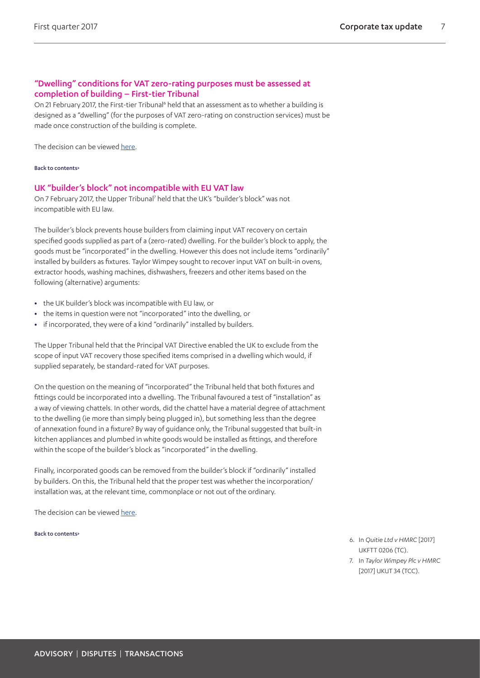### <span id="page-6-0"></span>"Dwelling" conditions for VAT zero-rating purposes must be assessed at completion of building – First-tier Tribunal

On 21 February 2017, the First-tier Tribunal<sup>6</sup> held that an assessment as to whether a building is designed as a "dwelling" (for the purposes of VAT zero-rating on construction services) must be made once construction of the building is complete.

The decision can be viewed [here.](http://financeandtax.decisions.tribunals.gov.uk//judgmentfiles/j9667/TC05694.pdf)

#### [Back to contents>](#page-0-0)

### UK "builder's block" not incompatible with EU VAT law

On [7](#page-6-2) February 2017, the Upper Tribunal<sup>7</sup> held that the UK's "builder's block" was not incompatible with EU law.

The builder's block prevents house builders from claiming input VAT recovery on certain specified goods supplied as part of a (zero-rated) dwelling. For the builder's block to apply, the goods must be "incorporated" in the dwelling. However this does not include items "ordinarily" installed by builders as fixtures. Taylor Wimpey sought to recover input VAT on built-in ovens, extractor hoods, washing machines, dishwashers, freezers and other items based on the following (alternative) arguments:

- **•** the UK builder's block was incompatible with EU law, or
- **•** the items in question were not "incorporated" into the dwelling, or
- **•** if incorporated, they were of a kind "ordinarily" installed by builders.

The Upper Tribunal held that the Principal VAT Directive enabled the UK to exclude from the scope of input VAT recovery those specified items comprised in a dwelling which would, if supplied separately, be standard-rated for VAT purposes.

On the question on the meaning of "incorporated" the Tribunal held that both fixtures and fittings could be incorporated into a dwelling. The Tribunal favoured a test of "installation" as a way of viewing chattels. In other words, did the chattel have a material degree of attachment to the dwelling (ie more than simply being plugged in), but something less than the degree of annexation found in a fixture? By way of guidance only, the Tribunal suggested that built-in kitchen appliances and plumbed in white goods would be installed as fittings, and therefore within the scope of the builder's block as "incorporated" in the dwelling.

Finally, incorporated goods can be removed from the builder's block if "ordinarily" installed by builders. On this, the Tribunal held that the proper test was whether the incorporation/ installation was, at the relevant time, commonplace or not out of the ordinary.

The decision can be viewed [here.](http://www.bailii.org/uk/cases/UKUT/TCC/2017/34.pdf)

- <span id="page-6-1"></span>6. In *Quitie Ltd v HMRC* [2017] UKFTT 0206 (TC).
- <span id="page-6-2"></span>7. In *Taylor Wimpey Plc v HMRC*  [2017] UKUT 34 (TCC).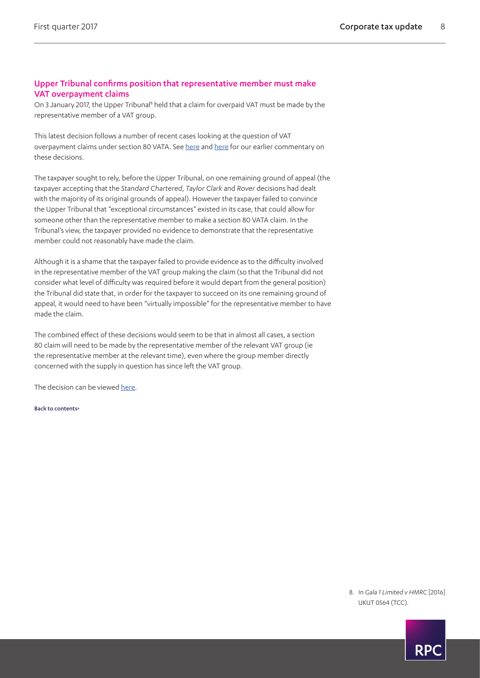### <span id="page-7-0"></span>Upper Tribunal confirms position that representative member must make VAT overpayment claims

On 3 January 2017, the Upper Tribunal<sup>[8](#page-7-1)</sup> held that a claim for overpaid VAT must be made by the representative member of a VAT group.

This latest decision follows a number of recent cases looking at the question of VAT overpayment claims under section 80 VATA. See [here](https://www.rpc.co.uk/perspectives/tax-take/corporate-tax-update-final-quarter-2016) and [here](https://www.rpc.co.uk/perspectives/tax-take/corporate-tax-update-third-quarter-2016) for our earlier commentary on these decisions.

The taxpayer sought to rely, before the Upper Tribunal, on one remaining ground of appeal (the taxpayer accepting that the *Standard Chartered*, *Taylor Clark* and *Rover* decisions had dealt with the majority of its original grounds of appeal). However the taxpayer failed to convince the Upper Tribunal that "exceptional circumstances" existed in its case, that could allow for someone other than the representative member to make a section 80 VATA claim. In the Tribunal's view, the taxpayer provided no evidence to demonstrate that the representative member could not reasonably have made the claim.

Although it is a shame that the taxpayer failed to provide evidence as to the difficulty involved in the representative member of the VAT group making the claim (so that the Tribunal did not consider what level of difficulty was required before it would depart from the general position) the Tribunal did state that, in order for the taxpayer to succeed on its one remaining ground of appeal, it would need to have been "virtually impossible" for the representative member to have made the claim.

The combined effect of these decisions would seem to be that in almost all cases, a section 80 claim will need to be made by the representative member of the relevant VAT group (ie the representative member at the relevant time), even where the group member directly concerned with the supply in question has since left the VAT group.

The decision can be viewed [here.](http://www.bailii.org/uk/cases/UKUT/TCC/2016/564.pdf)

[Back to contents>](#page-0-0)

<span id="page-7-1"></span>8. In *Gala 1 Limited v HMRC* [2016] UKUT 0564 (TCC).

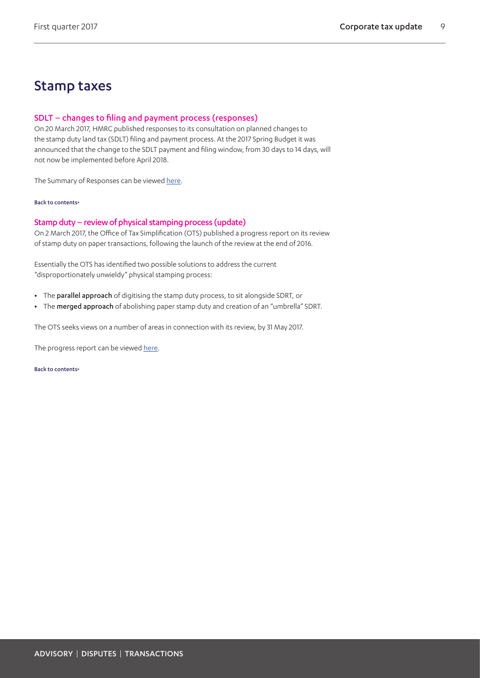### Stamp taxes

### <span id="page-8-0"></span>SDLT – changes to filing and payment process (responses)

On 20 March 2017, HMRC published responses to its consultation on planned changes to the stamp duty land tax (SDLT) filing and payment process. At the 2017 Spring Budget it was announced that the change to the SDLT payment and filing window, from 30 days to 14 days, will not now be implemented before April 2018.

The Summary of Responses can be viewed [here](https://www.gov.uk/government/uploads/system/uploads/attachment_data/file/601143/Stamp_duty_land_tax-changes_to_the_filing_and_payment_process_-_summary_of_responses.pdf).

#### [Back to contents>](#page-0-0)

### <span id="page-8-1"></span>Stamp duty – review of physical stamping process (update)

On 2 March 2017, the Office of Tax Simplification (OTS) published a progress report on its review of stamp duty on paper transactions, following the launch of the review at the end of 2016.

Essentially the OTS has identified two possible solutions to address the current "disproportionately unwieldy" physical stamping process:

- **•** The parallel approach of digitising the stamp duty process, to sit alongside SDRT, or
- **•** The merged approach of abolishing paper stamp duty and creation of an "umbrella" SDRT.

The OTS seeks views on a number of areas in connection with its review, by 31 May 2017.

The progress report can be viewed [here.](https://www.gov.uk/government/uploads/system/uploads/attachment_data/file/595964/STAMP_DUTY_INTERIM_PAPER_v6_final.pdf)